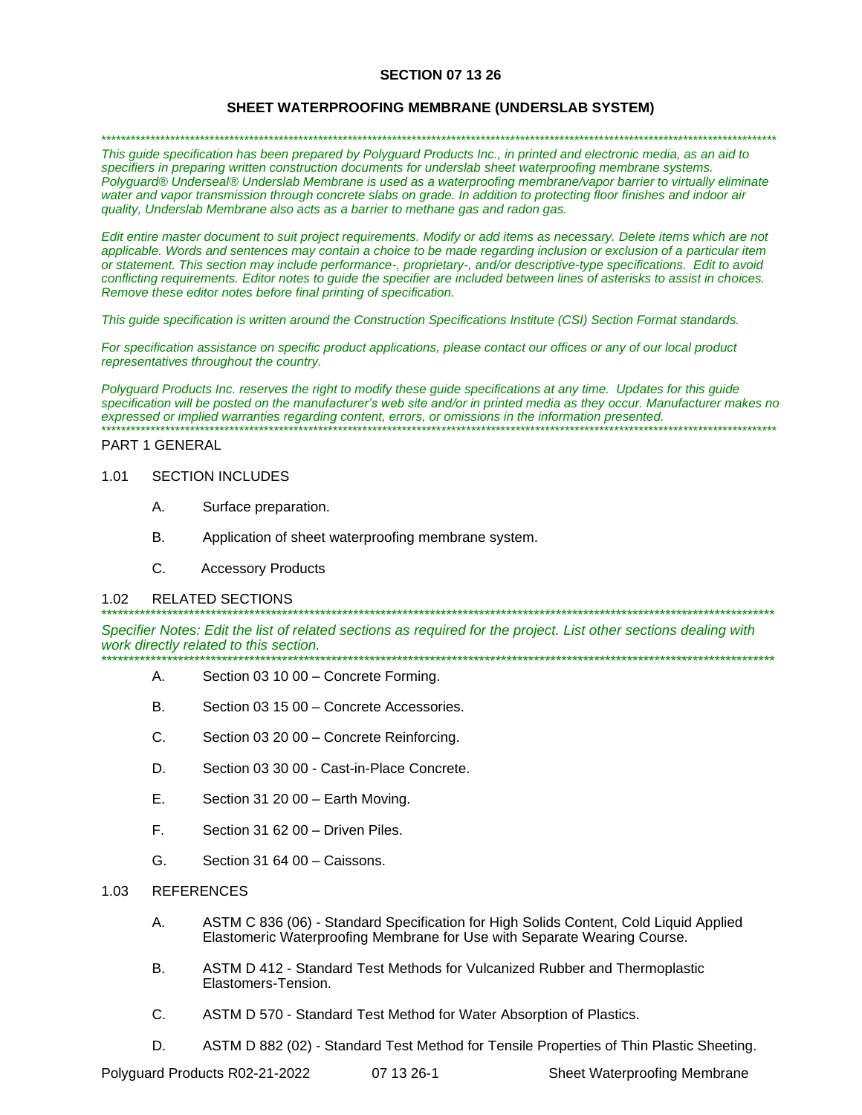### **SECTION 07 13 26**

#### **SHEET WATERPROOFING MEMBRANE (UNDERSLAB SYSTEM)**

\*\*\*\*\*\*\*\*\*\*\*\*\*\*\*\*\*\*\*\*\*\*\*\*\*\*\*\*\*\*\*\*\*\*\*\*\*\*\*\*\*\*\*\*\*\*\*\*\*\*\*\*\*\*\*\*\*\*\*\*\*\*\*\*\*\*\*\*\*\*\*\*\*\*\*\*\*\*\*\*\*\*\*\*\*\*\*\*\*\*\*\*\*\*\*\*\*\*\*\*\*\*\*\*\*\*\*\*\*\*\*\*\*\*\*\*\*\*\*\*\*\*\*\*\*\*\*\*\*\*\*\*\*\*\*\*\*

*This guide specification has been prepared by Polyguard Products Inc., in printed and electronic media, as an aid to specifiers in preparing written construction documents for underslab sheet waterproofing membrane systems. Polyguard® Underseal® Underslab Membrane is used as a waterproofing membrane/vapor barrier to virtually eliminate water and vapor transmission through concrete slabs on grade. In addition to protecting floor finishes and indoor air quality, Underslab Membrane also acts as a barrier to methane gas and radon gas.*

*Edit entire master document to suit project requirements. Modify or add items as necessary. Delete items which are not applicable. Words and sentences may contain a choice to be made regarding inclusion or exclusion of a particular item or statement. This section may include performance-, proprietary-, and/or descriptive-type specifications. Edit to avoid conflicting requirements. Editor notes to guide the specifier are included between lines of asterisks to assist in choices. Remove these editor notes before final printing of specification.*

*This guide specification is written around the Construction Specifications Institute (CSI) Section Format standards.* 

*For specification assistance on specific product applications, please contact our offices or any of our local product representatives throughout the country.* 

*Polyguard Products Inc. reserves the right to modify these guide specifications at any time. Updates for this guide specification will be posted on the manufacturer's web site and/or in printed media as they occur. Manufacturer makes no expressed or implied warranties regarding content, errors, or omissions in the information presented.* \*\*\*\*\*\*\*\*\*\*\*\*\*\*\*\*\*\*\*\*\*\*\*\*\*\*\*\*\*\*\*\*\*\*\*\*\*\*\*\*\*\*\*\*\*\*\*\*\*\*\*\*\*\*\*\*\*\*\*\*\*\*\*\*\*\*\*\*\*\*\*\*\*\*\*\*\*\*\*\*\*\*\*\*\*\*\*\*\*\*\*\*\*\*\*\*\*\*\*\*\*\*\*\*\*\*\*\*\*\*\*\*\*\*\*\*\*\*\*\*\*\*\*\*\*\*\*\*\*\*\*\*\*\*\*\*\*

#### PART 1 GENERAL

#### 1.01 SECTION INCLUDES

- A. Surface preparation.
- B. Application of sheet waterproofing membrane system.
- C. Accessory Products

#### 1.02 RELATED SECTIONS

*Specifier Notes: Edit the list of related sections as required for the project. List other sections dealing with work directly related to this section.* \*\*\*\*\*\*\*\*\*\*\*\*\*\*\*\*\*\*\*\*\*\*\*\*\*\*\*\*\*\*\*\*\*\*\*\*\*\*\*\*\*\*\*\*\*\*\*\*\*\*\*\*\*\*\*\*\*\*\*\*\*\*\*\*\*\*\*\*\*\*\*\*\*\*\*\*\*\*\*\*\*\*\*\*\*\*\*\*\*\*\*\*\*\*\*\*\*\*\*\*\*\*\*\*\*\*\*\*\*\*\*\*\*\*\*\*\*\*\*\*\*\*\*

\*\*\*\*\*\*\*\*\*\*\*\*\*\*\*\*\*\*\*\*\*\*\*\*\*\*\*\*\*\*\*\*\*\*\*\*\*\*\*\*\*\*\*\*\*\*\*\*\*\*\*\*\*\*\*\*\*\*\*\*\*\*\*\*\*\*\*\*\*\*\*\*\*\*\*\*\*\*\*\*\*\*\*\*\*\*\*\*\*\*\*\*\*\*\*\*\*\*\*\*\*\*\*\*\*\*\*\*\*\*\*\*\*\*\*\*\*\*\*\*\*\*\*

- A. Section 03 10 00 Concrete Forming.
- B. Section 03 15 00 Concrete Accessories.
- C. Section 03 20 00 Concrete Reinforcing.
- D. Section 03 30 00 Cast-in-Place Concrete.
- E. Section 31 20 00 Earth Moving.
- F. Section 31 62 00 Driven Piles.
- G. Section 31 64 00 Caissons.

#### 1.03 REFERENCES

- A. ASTM C 836 (06) Standard Specification for High Solids Content, Cold Liquid Applied Elastomeric Waterproofing Membrane for Use with Separate Wearing Course.
- B. ASTM D 412 Standard Test Methods for Vulcanized Rubber and Thermoplastic Elastomers-Tension.
- C. ASTM D 570 Standard Test Method for Water Absorption of Plastics.
- D. ASTM D 882 (02) Standard Test Method for Tensile Properties of Thin Plastic Sheeting.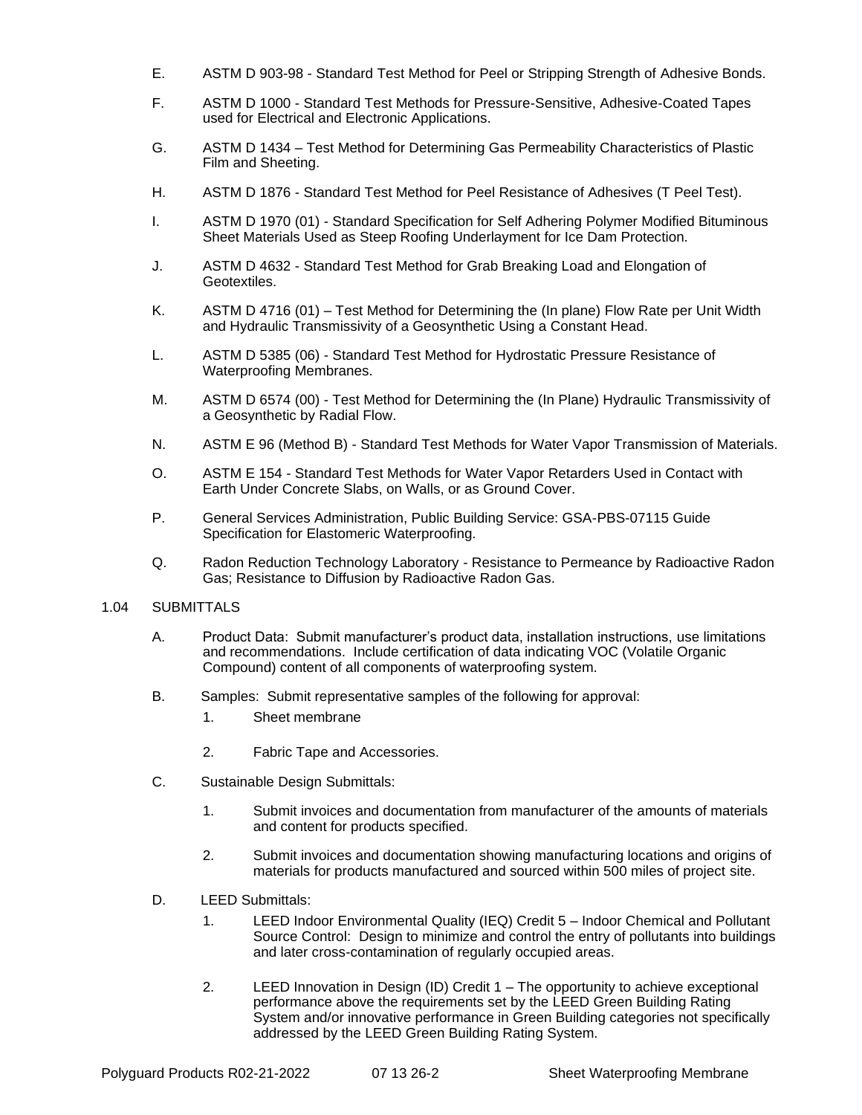- E. ASTM D 903-98 Standard Test Method for Peel or Stripping Strength of Adhesive Bonds.
- F. ASTM D 1000 Standard Test Methods for Pressure-Sensitive, Adhesive-Coated Tapes used for Electrical and Electronic Applications.
- G. ASTM D 1434 Test Method for Determining Gas Permeability Characteristics of Plastic Film and Sheeting.
- H. ASTM D 1876 Standard Test Method for Peel Resistance of Adhesives (T Peel Test).
- I. ASTM D 1970 (01) Standard Specification for Self Adhering Polymer Modified Bituminous Sheet Materials Used as Steep Roofing Underlayment for Ice Dam Protection.
- J. ASTM D 4632 Standard Test Method for Grab Breaking Load and Elongation of Geotextiles.
- K. ASTM D 4716 (01) Test Method for Determining the (In plane) Flow Rate per Unit Width and Hydraulic Transmissivity of a Geosynthetic Using a Constant Head.
- L. ASTM D 5385 (06) Standard Test Method for Hydrostatic Pressure Resistance of Waterproofing Membranes.
- M. ASTM D 6574 (00) Test Method for Determining the (In Plane) Hydraulic Transmissivity of a Geosynthetic by Radial Flow.
- N. ASTM E 96 (Method B) Standard Test Methods for Water Vapor Transmission of Materials.
- O. ASTM E 154 Standard Test Methods for Water Vapor Retarders Used in Contact with Earth Under Concrete Slabs, on Walls, or as Ground Cover.
- P. General Services Administration, Public Building Service: GSA-PBS-07115 Guide Specification for Elastomeric Waterproofing.
- Q. Radon Reduction Technology Laboratory Resistance to Permeance by Radioactive Radon Gas; Resistance to Diffusion by Radioactive Radon Gas.

### 1.04 SUBMITTALS

- A. Product Data: Submit manufacturer's product data, installation instructions, use limitations and recommendations. Include certification of data indicating VOC (Volatile Organic Compound) content of all components of waterproofing system.
- B. Samples: Submit representative samples of the following for approval:
	- 1. Sheet membrane
	- 2. Fabric Tape and Accessories.
- C. Sustainable Design Submittals:
	- 1. Submit invoices and documentation from manufacturer of the amounts of materials and content for products specified.
	- 2. Submit invoices and documentation showing manufacturing locations and origins of materials for products manufactured and sourced within 500 miles of project site.
- D. LEED Submittals:
	- 1. LEED Indoor Environmental Quality (IEQ) Credit 5 Indoor Chemical and Pollutant Source Control: Design to minimize and control the entry of pollutants into buildings and later cross-contamination of regularly occupied areas.
	- 2. LEED Innovation in Design (ID) Credit 1 The opportunity to achieve exceptional performance above the requirements set by the LEED Green Building Rating System and/or innovative performance in Green Building categories not specifically addressed by the LEED Green Building Rating System.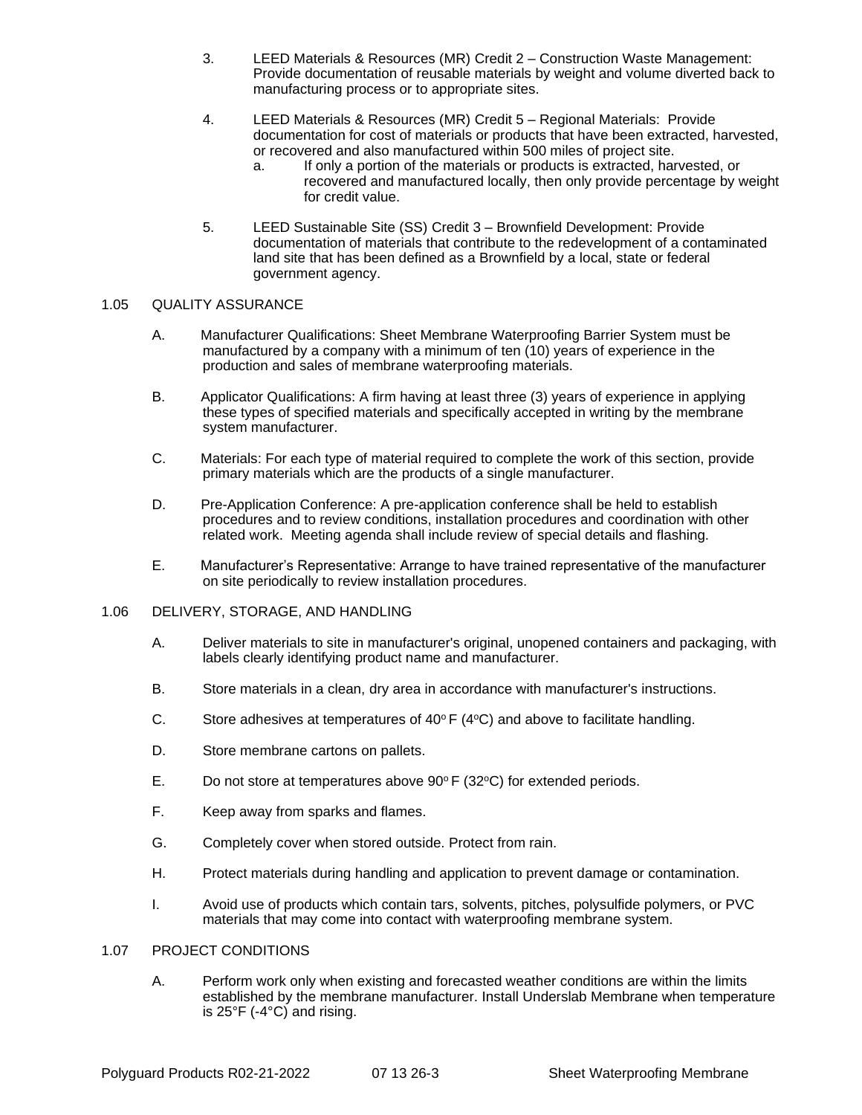- 3. LEED Materials & Resources (MR) Credit 2 Construction Waste Management: Provide documentation of reusable materials by weight and volume diverted back to manufacturing process or to appropriate sites.
- 4. LEED Materials & Resources (MR) Credit 5 Regional Materials: Provide documentation for cost of materials or products that have been extracted, harvested, or recovered and also manufactured within 500 miles of project site.
	- a. If only a portion of the materials or products is extracted, harvested, or recovered and manufactured locally, then only provide percentage by weight for credit value.
- 5. LEED Sustainable Site (SS) Credit 3 Brownfield Development: Provide documentation of materials that contribute to the redevelopment of a contaminated land site that has been defined as a Brownfield by a local, state or federal government agency.

### 1.05 QUALITY ASSURANCE

- A. Manufacturer Qualifications: Sheet Membrane Waterproofing Barrier System must be manufactured by a company with a minimum of ten (10) years of experience in the production and sales of membrane waterproofing materials.
- B. Applicator Qualifications: A firm having at least three (3) years of experience in applying these types of specified materials and specifically accepted in writing by the membrane system manufacturer.
- C. Materials: For each type of material required to complete the work of this section, provide primary materials which are the products of a single manufacturer.
- D. Pre-Application Conference: A pre-application conference shall be held to establish procedures and to review conditions, installation procedures and coordination with other related work. Meeting agenda shall include review of special details and flashing.
- E. Manufacturer's Representative: Arrange to have trained representative of the manufacturer on site periodically to review installation procedures.

### 1.06 DELIVERY, STORAGE, AND HANDLING

- A. Deliver materials to site in manufacturer's original, unopened containers and packaging, with labels clearly identifying product name and manufacturer.
- B. Store materials in a clean, dry area in accordance with manufacturer's instructions.
- C. Store adhesives at temperatures of  $40^{\circ}$  F ( $4^{\circ}$ C) and above to facilitate handling.
- D. Store membrane cartons on pallets.
- E. Do not store at temperatures above  $90^{\circ}$  F (32 $^{\circ}$ C) for extended periods.
- F. Keep away from sparks and flames.
- G. Completely cover when stored outside. Protect from rain.
- H. Protect materials during handling and application to prevent damage or contamination.
- I. Avoid use of products which contain tars, solvents, pitches, polysulfide polymers, or PVC materials that may come into contact with waterproofing membrane system.

### 1.07 PROJECT CONDITIONS

A. Perform work only when existing and forecasted weather conditions are within the limits established by the membrane manufacturer. Install Underslab Membrane when temperature is 25°F (-4°C) and rising.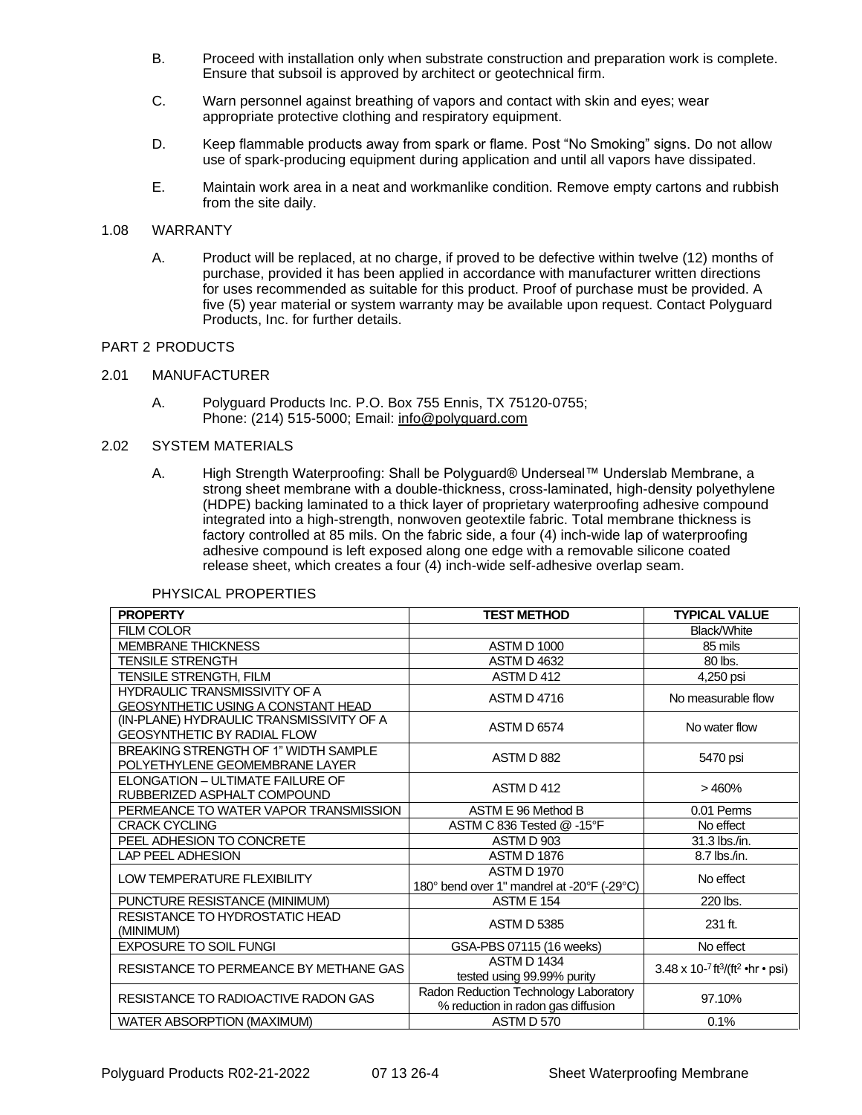- B. Proceed with installation only when substrate construction and preparation work is complete. Ensure that subsoil is approved by architect or geotechnical firm.
- C. Warn personnel against breathing of vapors and contact with skin and eyes; wear appropriate protective clothing and respiratory equipment.
- D. Keep flammable products away from spark or flame. Post "No Smoking" signs. Do not allow use of spark-producing equipment during application and until all vapors have dissipated.
- E. Maintain work area in a neat and workmanlike condition. Remove empty cartons and rubbish from the site daily.

#### 1.08 WARRANTY

A. Product will be replaced, at no charge, if proved to be defective within twelve (12) months of purchase, provided it has been applied in accordance with manufacturer written directions for uses recommended as suitable for this product. Proof of purchase must be provided. A five (5) year material or system warranty may be available upon request. Contact Polyguard Products, Inc. for further details.

### PART 2 PRODUCTS

#### 2.01 MANUFACTURER

A. Polyguard Products Inc. P.O. Box 755 Ennis, TX 75120-0755; Phone: (214) 515-5000; Email: [info@polyguard.com](mailto:info@polyguard.com)

#### 2.02 SYSTEM MATERIALS

A. High Strength Waterproofing: Shall be Polyguard® Underseal™ Underslab Membrane, a strong sheet membrane with a double-thickness, cross-laminated, high-density polyethylene (HDPE) backing laminated to a thick layer of proprietary waterproofing adhesive compound integrated into a high-strength, nonwoven geotextile fabric. Total membrane thickness is factory controlled at 85 mils. On the fabric side, a four (4) inch-wide lap of waterproofing adhesive compound is left exposed along one edge with a removable silicone coated release sheet, which creates a four (4) inch-wide self-adhesive overlap seam.

| <b>PROPERTY</b>                           | <b>TEST METHOD</b>                         | <b>TYPICAL VALUE</b>                               |
|-------------------------------------------|--------------------------------------------|----------------------------------------------------|
| <b>FILM COLOR</b>                         |                                            | Black/White                                        |
| <b>MEMBRANE THICKNESS</b>                 | <b>ASTM D 1000</b>                         | 85 mils                                            |
| <b>TENSILE STRENGTH</b>                   | <b>ASTM D 4632</b>                         | 80 lbs.                                            |
| <b>TENSILE STRENGTH, FILM</b>             | ASTM D412                                  | 4,250 psi                                          |
| HYDRAULIC TRANSMISSIVITY OF A             | <b>ASTM D 4716</b>                         | No measurable flow                                 |
| <b>GEOSYNTHETIC USING A CONSTANT HEAD</b> |                                            |                                                    |
| (IN-PLANE) HYDRAULIC TRANSMISSIVITY OF A  | <b>ASTM D 6574</b>                         | No water flow                                      |
| <b>GEOSYNTHETIC BY RADIAL FLOW</b>        |                                            |                                                    |
| BREAKING STRENGTH OF 1" WIDTH SAMPLE      | ASTM D 882                                 | 5470 psi                                           |
| POLYETHYLENE GEOMEMBRANE LAYER            |                                            |                                                    |
| ELONGATION - ULTIMATE FAILURE OF          | ASTM D 412                                 | >460%                                              |
| RUBBERIZED ASPHALT COMPOUND               |                                            |                                                    |
| PERMEANCE TO WATER VAPOR TRANSMISSION     | ASTM E 96 Method B                         | 0.01 Perms                                         |
| <b>CRACK CYCLING</b>                      | ASTM C 836 Tested @ -15°F                  | No effect                                          |
| PEEL ADHESION TO CONCRETE                 | ASTM D 903                                 | 31.3 lbs./in.                                      |
| LAP PEEL ADHESION                         | <b>ASTM D 1876</b>                         | 8.7 lbs./in.                                       |
| <b>LOW TEMPERATURE FLEXIBILITY</b>        | <b>ASTM D 1970</b>                         | No effect                                          |
|                                           | 180° bend over 1" mandrel at -20°F (-29°C) |                                                    |
| PUNCTURE RESISTANCE (MINIMUM)             | <b>ASTM E 154</b>                          | 220 lbs.                                           |
| RESISTANCE TO HYDROSTATIC HEAD            | <b>ASTM D 5385</b>                         | 231 ft.                                            |
| (MINIMUM)                                 |                                            |                                                    |
| <b>EXPOSURE TO SOIL FUNGI</b>             | GSA-PBS 07115 (16 weeks)                   | No effect                                          |
| RESISTANCE TO PERMEANCE BY METHANE GAS    | <b>ASTM D 1434</b>                         | 3.48 x 10-7 ft $^{3}$ /(ft <sup>2</sup> •hr • psi) |
|                                           | tested using 99.99% purity                 |                                                    |
| RESISTANCE TO RADIOACTIVE RADON GAS       | Radon Reduction Technology Laboratory      | 97.10%                                             |
|                                           | % reduction in radon gas diffusion         |                                                    |
| WATER ABSORPTION (MAXIMUM)                | ASTM D 570                                 | 0.1%                                               |

#### PHYSICAL PROPERTIES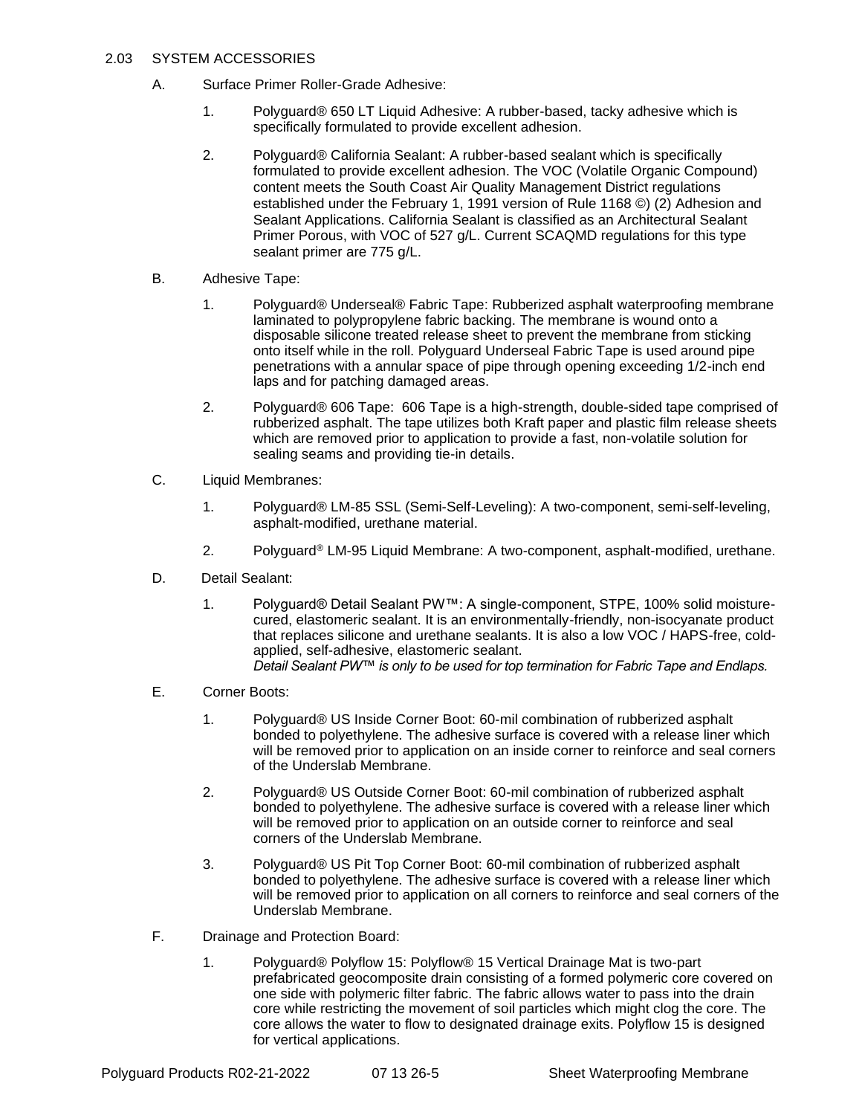# 2.03 SYSTEM ACCESSORIES

- A. Surface Primer Roller-Grade Adhesive:
	- 1. Polyguard® 650 LT Liquid Adhesive: A rubber-based, tacky adhesive which is specifically formulated to provide excellent adhesion.
	- 2. Polyguard® California Sealant: A rubber-based sealant which is specifically formulated to provide excellent adhesion. The VOC (Volatile Organic Compound) content meets the South Coast Air Quality Management District regulations established under the February 1, 1991 version of Rule 1168 ©) (2) Adhesion and Sealant Applications. California Sealant is classified as an Architectural Sealant Primer Porous, with VOC of 527 g/L. Current SCAQMD regulations for this type sealant primer are 775 g/L.
- B. Adhesive Tape:
	- 1. Polyguard® Underseal® Fabric Tape: Rubberized asphalt waterproofing membrane laminated to polypropylene fabric backing. The membrane is wound onto a disposable silicone treated release sheet to prevent the membrane from sticking onto itself while in the roll. Polyguard Underseal Fabric Tape is used around pipe penetrations with a annular space of pipe through opening exceeding 1/2-inch end laps and for patching damaged areas.
	- 2. Polyguard® 606 Tape: 606 Tape is a high-strength, double-sided tape comprised of rubberized asphalt. The tape utilizes both Kraft paper and plastic film release sheets which are removed prior to application to provide a fast, non-volatile solution for sealing seams and providing tie-in details.
- C. Liquid Membranes:
	- 1. Polyguard® LM-85 SSL (Semi-Self-Leveling): A two-component, semi-self-leveling, asphalt-modified, urethane material.
	- 2. Polyguard® LM-95 Liquid Membrane: A two-component, asphalt-modified, urethane.
- D. Detail Sealant:
	- 1. Polyguard® Detail Sealant PW™: A single-component, STPE, 100% solid moisturecured, elastomeric sealant. It is an environmentally-friendly, non-isocyanate product that replaces silicone and urethane sealants. It is also a low VOC / HAPS-free, coldapplied, self-adhesive, elastomeric sealant. *Detail Sealant PW™ is only to be used for top termination for Fabric Tape and Endlaps.*
- E. Corner Boots:
	- 1. Polyguard® US Inside Corner Boot: 60-mil combination of rubberized asphalt bonded to polyethylene. The adhesive surface is covered with a release liner which will be removed prior to application on an inside corner to reinforce and seal corners of the Underslab Membrane.
	- 2. Polyguard® US Outside Corner Boot: 60-mil combination of rubberized asphalt bonded to polyethylene. The adhesive surface is covered with a release liner which will be removed prior to application on an outside corner to reinforce and seal corners of the Underslab Membrane.
	- 3. Polyguard® US Pit Top Corner Boot: 60-mil combination of rubberized asphalt bonded to polyethylene. The adhesive surface is covered with a release liner which will be removed prior to application on all corners to reinforce and seal corners of the Underslab Membrane.
- F. Drainage and Protection Board:
	- 1. Polyguard® Polyflow 15: Polyflow® 15 Vertical Drainage Mat is two-part prefabricated geocomposite drain consisting of a formed polymeric core covered on one side with polymeric filter fabric. The fabric allows water to pass into the drain core while restricting the movement of soil particles which might clog the core. The core allows the water to flow to designated drainage exits. Polyflow 15 is designed for vertical applications.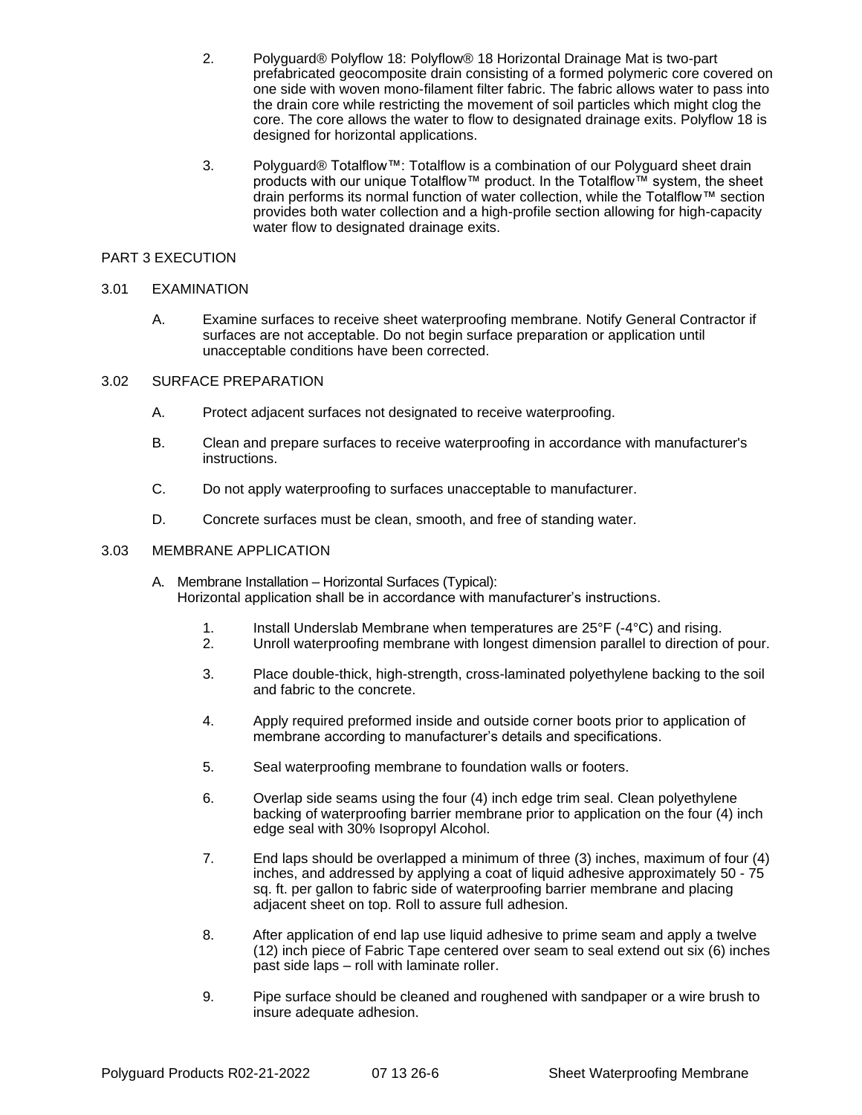- 2. Polyguard® Polyflow 18: Polyflow® 18 Horizontal Drainage Mat is two-part prefabricated geocomposite drain consisting of a formed polymeric core covered on one side with woven mono-filament filter fabric. The fabric allows water to pass into the drain core while restricting the movement of soil particles which might clog the core. The core allows the water to flow to designated drainage exits. Polyflow 18 is designed for horizontal applications.
- 3. Polyguard® Totalflow™: Totalflow is a combination of our Polyguard sheet drain products with our unique Totalflow™ product. In the Totalflow<sup>™</sup> system, the sheet drain performs its normal function of water collection, while the Totalflow™ section provides both water collection and a high-profile section allowing for high-capacity water flow to designated drainage exits.

## PART 3 EXECUTION

# 3.01 EXAMINATION

 A. Examine surfaces to receive sheet waterproofing membrane. Notify General Contractor if surfaces are not acceptable. Do not begin surface preparation or application until unacceptable conditions have been corrected.

### 3.02 SURFACE PREPARATION

- A. Protect adjacent surfaces not designated to receive waterproofing.
- B. Clean and prepare surfaces to receive waterproofing in accordance with manufacturer's instructions.
- C. Do not apply waterproofing to surfaces unacceptable to manufacturer.
- D. Concrete surfaces must be clean, smooth, and free of standing water.

# 3.03 MEMBRANE APPLICATION

- A. Membrane Installation Horizontal Surfaces (Typical): Horizontal application shall be in accordance with manufacturer's instructions.
	- 1. Install Underslab Membrane when temperatures are 25°F (-4°C) and rising.<br>2. Unroll waterproofing membrane with longest dimension parallel to direction
	- 2. Unroll waterproofing membrane with longest dimension parallel to direction of pour.
	- 3. Place double-thick, high-strength, cross-laminated polyethylene backing to the soil and fabric to the concrete.
	- 4. Apply required preformed inside and outside corner boots prior to application of membrane according to manufacturer's details and specifications.
	- 5. Seal waterproofing membrane to foundation walls or footers.
	- 6. Overlap side seams using the four (4) inch edge trim seal. Clean polyethylene backing of waterproofing barrier membrane prior to application on the four (4) inch edge seal with 30% Isopropyl Alcohol.
	- 7. End laps should be overlapped a minimum of three (3) inches, maximum of four (4) inches, and addressed by applying a coat of liquid adhesive approximately 50 - 75 sq. ft. per gallon to fabric side of waterproofing barrier membrane and placing adjacent sheet on top. Roll to assure full adhesion.
	- 8. After application of end lap use liquid adhesive to prime seam and apply a twelve (12) inch piece of Fabric Tape centered over seam to seal extend out six (6) inches past side laps – roll with laminate roller.
	- 9. Pipe surface should be cleaned and roughened with sandpaper or a wire brush to insure adequate adhesion.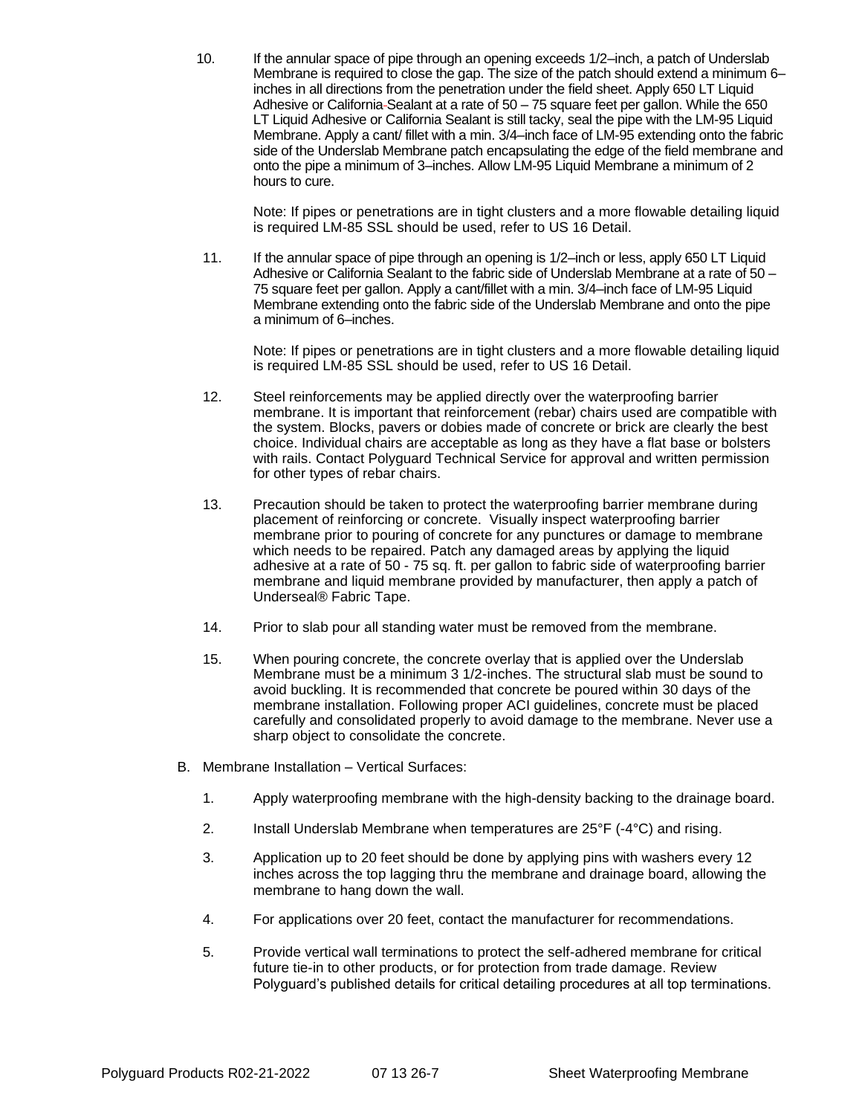10. If the annular space of pipe through an opening exceeds 1/2–inch, a patch of Underslab Membrane is required to close the gap. The size of the patch should extend a minimum 6– inches in all directions from the penetration under the field sheet. Apply 650 LT Liquid Adhesive or California Sealant at a rate of 50 – 75 square feet per gallon. While the 650 LT Liquid Adhesive or California Sealant is still tacky, seal the pipe with the LM-95 Liquid Membrane. Apply a cant/ fillet with a min. 3/4–inch face of LM-95 extending onto the fabric side of the Underslab Membrane patch encapsulating the edge of the field membrane and onto the pipe a minimum of 3–inches. Allow LM-95 Liquid Membrane a minimum of 2 hours to cure.

Note: If pipes or penetrations are in tight clusters and a more flowable detailing liquid is required LM-85 SSL should be used, refer to US 16 Detail.

11. If the annular space of pipe through an opening is 1/2–inch or less, apply 650 LT Liquid Adhesive or California Sealant to the fabric side of Underslab Membrane at a rate of 50 – 75 square feet per gallon. Apply a cant/fillet with a min. 3/4–inch face of LM-95 Liquid Membrane extending onto the fabric side of the Underslab Membrane and onto the pipe a minimum of 6–inches.

Note: If pipes or penetrations are in tight clusters and a more flowable detailing liquid is required LM-85 SSL should be used, refer to US 16 Detail.

- 12. Steel reinforcements may be applied directly over the waterproofing barrier membrane. It is important that reinforcement (rebar) chairs used are compatible with the system. Blocks, pavers or dobies made of concrete or brick are clearly the best choice. Individual chairs are acceptable as long as they have a flat base or bolsters with rails. Contact Polyguard Technical Service for approval and written permission for other types of rebar chairs.
- 13. Precaution should be taken to protect the waterproofing barrier membrane during placement of reinforcing or concrete. Visually inspect waterproofing barrier membrane prior to pouring of concrete for any punctures or damage to membrane which needs to be repaired. Patch any damaged areas by applying the liquid adhesive at a rate of 50 - 75 sq. ft. per gallon to fabric side of waterproofing barrier membrane and liquid membrane provided by manufacturer, then apply a patch of Underseal® Fabric Tape.
- 14. Prior to slab pour all standing water must be removed from the membrane.
- 15. When pouring concrete, the concrete overlay that is applied over the Underslab Membrane must be a minimum 3 1/2-inches. The structural slab must be sound to avoid buckling. It is recommended that concrete be poured within 30 days of the membrane installation. Following proper ACI guidelines, concrete must be placed carefully and consolidated properly to avoid damage to the membrane. Never use a sharp object to consolidate the concrete.
- B. Membrane Installation Vertical Surfaces:
	- 1. Apply waterproofing membrane with the high-density backing to the drainage board.
	- 2. Install Underslab Membrane when temperatures are 25°F (-4°C) and rising.
	- 3. Application up to 20 feet should be done by applying pins with washers every 12 inches across the top lagging thru the membrane and drainage board, allowing the membrane to hang down the wall.
	- 4. For applications over 20 feet, contact the manufacturer for recommendations.
	- 5. Provide vertical wall terminations to protect the self-adhered membrane for critical future tie-in to other products, or for protection from trade damage. Review Polyguard's published details for critical detailing procedures at all top terminations.